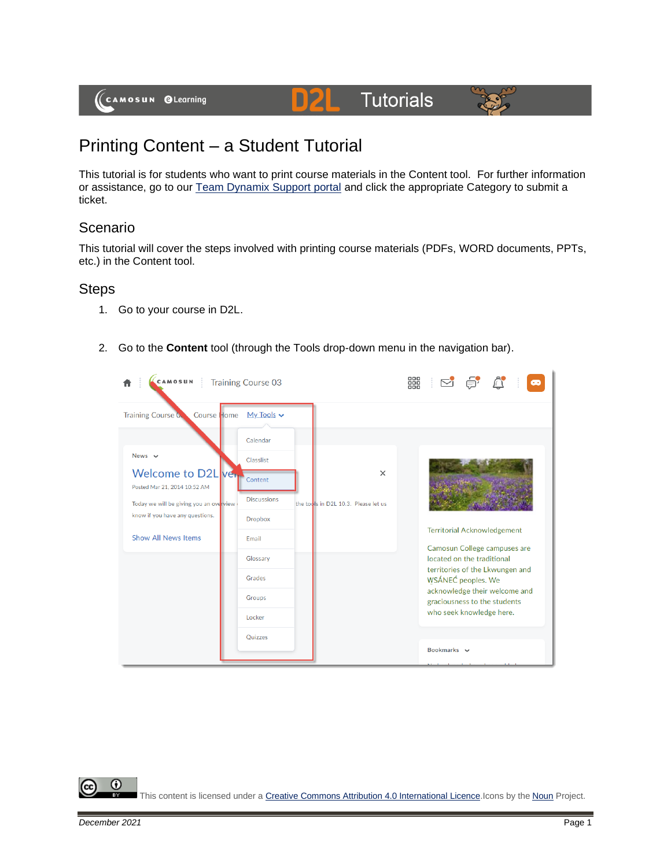# **Tutorials**



# Printing Content – a Student Tutorial

This tutorial is for students who want to print course materials in the Content tool. For further information or assistance, go to our [Team Dynamix Support portal](https://camosun.teamdynamix.com/TDClient/67/Portal/Requests/ServiceCatalog?CategoryID=524) and click the appropriate Category to submit a ticket.

DZI

### Scenario

This tutorial will cover the steps involved with printing course materials (PDFs, WORD documents, PPTs, etc.) in the Content tool.

#### **Steps**

- 1. Go to your course in D2L.
- 2. Go to the **Content** tool (through the Tools drop-down menu in the navigation bar).



This content is licensed under [a Creative Commons Attribution 4.0 International Licence.I](https://creativecommons.org/licenses/by/4.0/)cons by the [Noun](https://creativecommons.org/website-icons/) Project.

⋒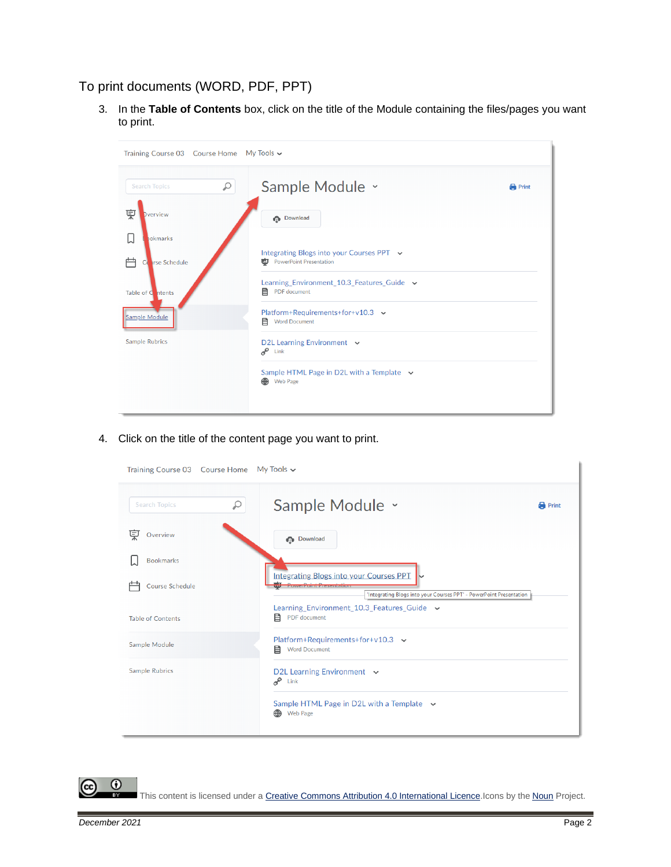## To print documents (WORD, PDF, PPT)

3. In the **Table of Contents** box, click on the title of the Module containing the files/pages you want to print.

| Training Course 03 Course Home My Tools v |                                                                                       |              |  |  |  |
|-------------------------------------------|---------------------------------------------------------------------------------------|--------------|--|--|--|
| $\varphi$<br><b>Search Topics</b>         | Sample Module v                                                                       | <b>Print</b> |  |  |  |
| 宲<br>Dverview                             | <b>Download</b>                                                                       |              |  |  |  |
| L<br><b>bokmarks</b>                      |                                                                                       |              |  |  |  |
| 户<br><b>Irse Schedule</b><br>Ci           | Integrating Blogs into your Courses PPT $\sim$<br><b>PowerPoint Presentation</b><br>画 |              |  |  |  |
| Table of C ntents                         | Learning_Environment_10.3_Features_Guide v<br>目<br>PDF document                       |              |  |  |  |
| Sample Module                             | Platform+Requirements+for+v10.3 $\sim$<br><b>Word Document</b><br>目                   |              |  |  |  |
| <b>Sample Rubrics</b>                     | D2L Learning Environment v<br>$e^{\mathcal{O}}$ Link                                  |              |  |  |  |
|                                           | Sample HTML Page in D2L with a Template $\sim$<br>⊕<br><b>Web Page</b>                |              |  |  |  |
|                                           |                                                                                       |              |  |  |  |

4. Click on the title of the content page you want to print.

| Training Course 03 Course Home My Tools v |                                                                                                                                                       |              |  |  |  |
|-------------------------------------------|-------------------------------------------------------------------------------------------------------------------------------------------------------|--------------|--|--|--|
| ₽<br><b>Search Topics</b>                 | Sample Module ×                                                                                                                                       | <b>Print</b> |  |  |  |
| 孠<br>Overview                             | <b>Download</b>                                                                                                                                       |              |  |  |  |
| <b>Bookmarks</b>                          |                                                                                                                                                       |              |  |  |  |
| <b>Course Schedule</b>                    | <b>Integrating Blogs into your Courses PPT</b><br><b>INVESTIGATION CONTROL</b><br>'Integrating Blogs into your Courses PPT' - PowerPoint Presentation |              |  |  |  |
| <b>Table of Contents</b>                  | Learning_Environment_10.3_Features_Guide $\sim$<br>目<br>PDF document                                                                                  |              |  |  |  |
| Sample Module                             | Platform+Requirements+for+v10.3 $\sim$<br>目<br><b>Word Document</b>                                                                                   |              |  |  |  |
| <b>Sample Rubrics</b>                     | D2L Learning Environment $\sim$<br>$o^{\circ}$ Link                                                                                                   |              |  |  |  |
|                                           | Sample HTML Page in D2L with a Template $\sim$<br>⊕<br><b>Web Page</b>                                                                                |              |  |  |  |

This content is licensed under [a Creative Commons Attribution 4.0 International Licence.I](https://creativecommons.org/licenses/by/4.0/)cons by the [Noun](https://creativecommons.org/website-icons/) Project.

 $\overline{0}$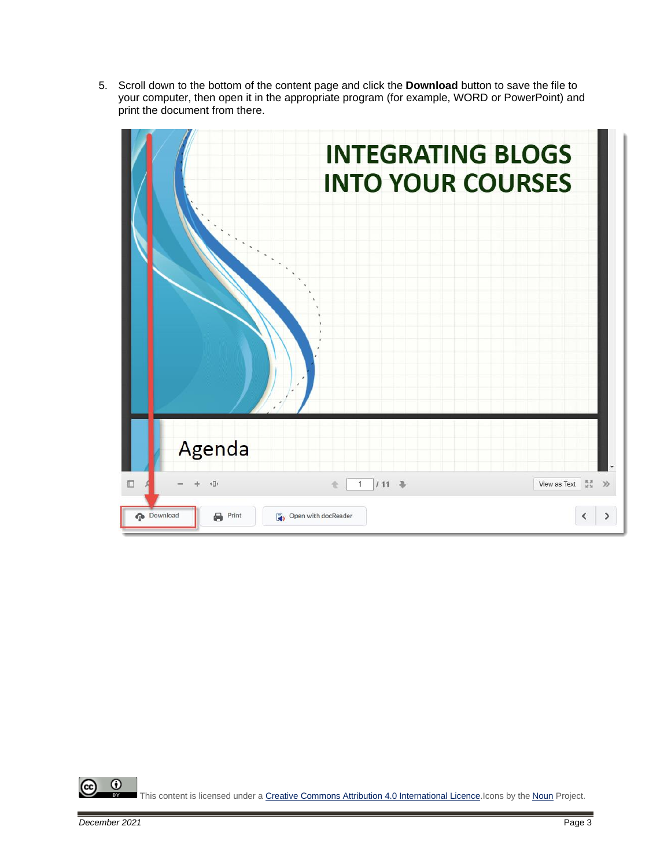5. Scroll down to the bottom of the content page and click the **Download** button to save the file to your computer, then open it in the appropriate program (for example, WORD or PowerPoint) and print the document from there.



 $\odot$ This content is licensed under [a Creative Commons Attribution 4.0 International Licence.I](https://creativecommons.org/licenses/by/4.0/)cons by the [Noun](https://creativecommons.org/website-icons/) Project.